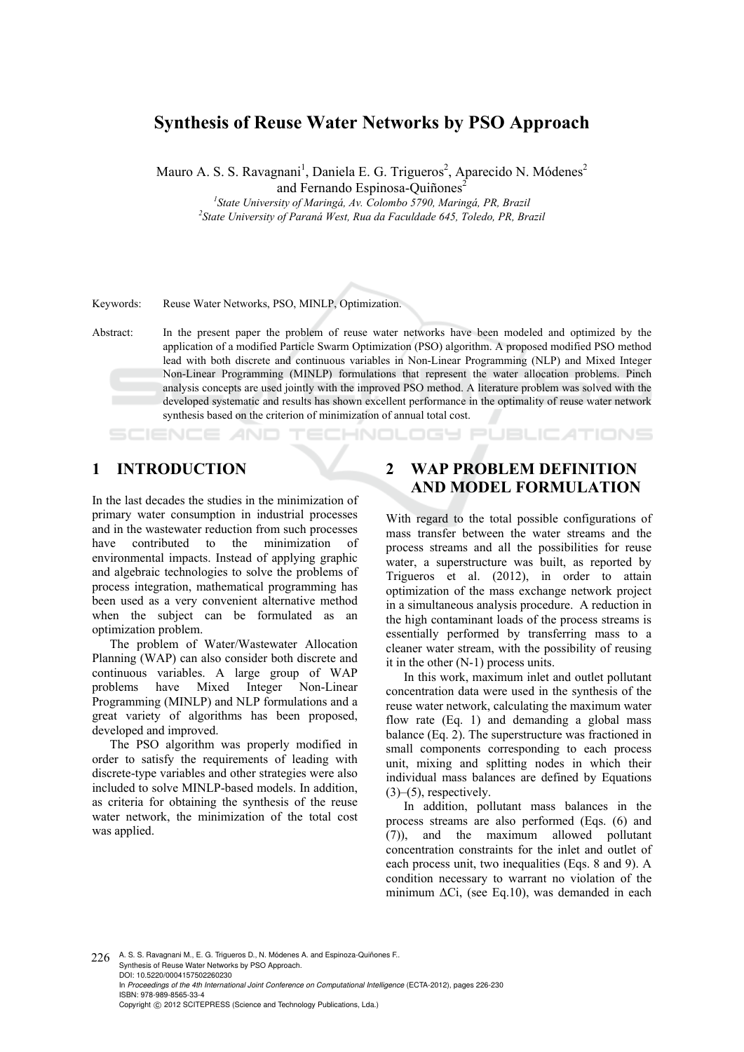## **Synthesis of Reuse Water Networks by PSO Approach**

Mauro A. S. S. Ravagnani<sup>1</sup>, Daniela E. G. Trigueros<sup>2</sup>, Aparecido N. Módenes<sup>2</sup> and Fernando Espinosa-Ouiñones<sup>2</sup>

<sup>1</sup><br>
<sup>1</sup> State University of Maringá, Av. Colombo 5790, Maringá, PR, Brazil<br>
<sup>2</sup> State University of Davan's West, Pue de Esculdade 645, Telede, PP, Pue *State University of Paraná West, Rua da Faculdade 645, Toledo, PR, Brazil* 

Keywords: Reuse Water Networks, PSO, MINLP, Optimization.

Abstract: In the present paper the problem of reuse water networks have been modeled and optimized by the application of a modified Particle Swarm Optimization (PSO) algorithm. A proposed modified PSO method lead with both discrete and continuous variables in Non-Linear Programming (NLP) and Mixed Integer Non-Linear Programming (MINLP) formulations that represent the water allocation problems. Pinch analysis concepts are used jointly with the improved PSO method. A literature problem was solved with the developed systematic and results has shown excellent performance in the optimality of reuse water network synthesis based on the criterion of minimization of annual total cost.

ECHNOLOGY

## **1 INTRODUCTION**

In the last decades the studies in the minimization of primary water consumption in industrial processes and in the wastewater reduction from such processes have contributed to the minimization of environmental impacts. Instead of applying graphic and algebraic technologies to solve the problems of process integration, mathematical programming has been used as a very convenient alternative method when the subject can be formulated as an optimization problem.

The problem of Water/Wastewater Allocation Planning (WAP) can also consider both discrete and continuous variables. A large group of WAP problems have Mixed Integer Non-Linear Programming (MINLP) and NLP formulations and a great variety of algorithms has been proposed, developed and improved.

The PSO algorithm was properly modified in order to satisfy the requirements of leading with discrete-type variables and other strategies were also included to solve MINLP-based models. In addition, as criteria for obtaining the synthesis of the reuse water network, the minimization of the total cost was applied.

# **2 WAP PROBLEM DEFINITION AND MODEL FORMULATION**

**JBLIC ATIONS** 

With regard to the total possible configurations of mass transfer between the water streams and the process streams and all the possibilities for reuse water, a superstructure was built, as reported by Trigueros et al. (2012), in order to attain optimization of the mass exchange network project in a simultaneous analysis procedure. A reduction in the high contaminant loads of the process streams is essentially performed by transferring mass to a cleaner water stream, with the possibility of reusing it in the other (N-1) process units.

In this work, maximum inlet and outlet pollutant concentration data were used in the synthesis of the reuse water network, calculating the maximum water flow rate (Eq. 1) and demanding a global mass balance (Eq. 2). The superstructure was fractioned in small components corresponding to each process unit, mixing and splitting nodes in which their individual mass balances are defined by Equations  $(3)$ – $(5)$ , respectively.

In addition, pollutant mass balances in the process streams are also performed (Eqs. (6) and (7)), and the maximum allowed pollutant concentration constraints for the inlet and outlet of each process unit, two inequalities (Eqs. 8 and 9). A condition necessary to warrant no violation of the minimum  $\Delta$ Ci, (see Eq.10), was demanded in each

226 A. S. S. Ravagnani M., E. G. Trigueros D., N. Módenes A. and Espinoza-Quiñones F.. Synthesis of Reuse Water Networks by PSO Approach. DOI: 10.5220/0004157502260230 In *Proceedings of the 4th International Joint Conference on Computational Intelligence* (ECTA-2012), pages 226-230 ISBN: 978-989-8565-33-4 Copyright © 2012 SCITEPRESS (Science and Technology Publications, Lda.)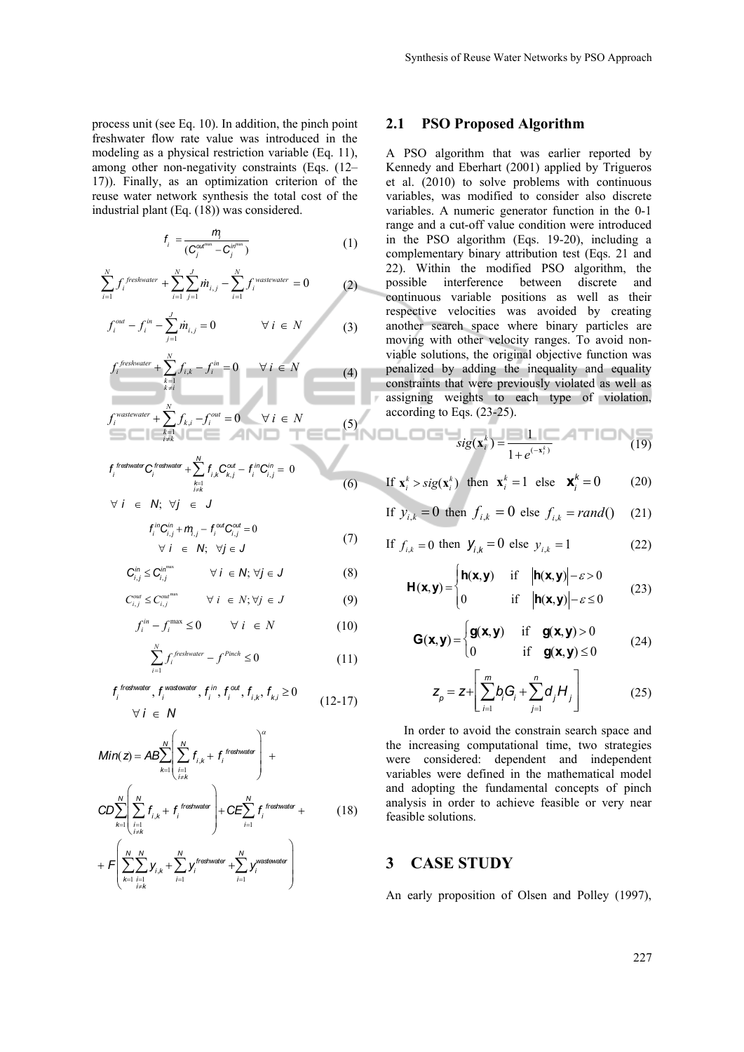process unit (see Eq. 10). In addition, the pinch point freshwater flow rate value was introduced in the modeling as a physical restriction variable (Eq. 11), among other non-negativity constraints (Eqs. (12– 17)). Finally, as an optimization criterion of the reuse water network synthesis the total cost of the industrial plant (Eq. (18)) was considered.

$$
f_i = \frac{i\eta_i}{(C_j^{\alpha t^{\max}} - C_j^{\text{intra}})}
$$
 (1)

$$
\sum_{i=1}^{N} f_i^{\text{freshwater}} + \sum_{i=1}^{N} \sum_{j=1}^{J} m_{i,j} - \sum_{i=1}^{N} f_i^{\text{wastewater}} = 0 \tag{2}
$$

$$
f_i^{out} - f_i^{in} - \sum_{j=1}^m \dot{m}_{i,j} = 0 \qquad \forall i \in N
$$
 (3)

$$
f_i^{freshwater} + \sum_{\substack{k=1 \ k \neq i}}^N f_{i,k} - f_i^{in} = 0 \qquad \forall i \in N
$$
 (4)

$$
f_i^{\text{wastewater}} + \sum_{\substack{k=1\\i \neq k}}^N f_{k,i} - f_i^{\text{out}} = 0 \qquad \forall i \in N
$$
 (5)

$$
f_i^{\text{frestwater}} C_i^{\text{frestwater}} + \sum_{\substack{k=1 \ k \neq k}}^N f_{i,k} C_{k,j}^{\text{out}} - f_i^{\text{in}} C_{i,j}^{\text{in}} = 0
$$
  

$$
\forall i \in N; \ \forall j \in J
$$

$$
f_i^{in}C_{i,j}^{in} + m_{i,j} - f_i^{out}C_{i,j}^{out} = 0
$$
  
\n
$$
\forall i \in N; \forall j \in J
$$
 (7)

(6)

$$
\mathbf{C}_{i,j}^{in} \leq \mathbf{C}_{i,j}^{in^{max}} \qquad \forall i \in \mathbb{N}; \forall j \in \mathbb{J}
$$
 (8)

$$
C_{i,j}^{out} \le C_{i,j}^{out^{max}} \qquad \forall \ i \ \in \ N; \forall j \ \in \ J \tag{9}
$$

$$
f_i^{in} - f_i^{\max} \le 0 \qquad \forall \ i \ \in \ N \tag{10}
$$

$$
\sum_{i=1}^{N} f_i^{\text{freshwater}} - f^{\text{Pinch}} \le 0 \tag{11}
$$

$$
f_i^{\text{tresfwater}}, f_i^{\text{wastewater}}, f_i^{\text{in}}, f_i^{\text{out}}, f_{i,k}, f_{k,i} \ge 0
$$
  

$$
\forall i \in \mathbb{N}
$$
 (12-17)

$$
Min(z) = AB \sum_{k=1}^{N} \left( \sum_{\substack{i=1 \ i \neq k}}^{N} f_{i,k} + f_{i}^{f \text{ testwater}} \right)^{\alpha} + \sum_{k=1}^{N} \left( \sum_{\substack{i=1 \ i \neq k}}^{N} f_{i,k} + f_{i}^{f \text{ testwater}} \right) + CE \sum_{i=1}^{N} f_{i}^{f \text{ testwater}} + \sum_{k=1}^{N} \sum_{\substack{i=1 \ i \neq k}}^{N} y_{i,k} + \sum_{i=1}^{N} y_{i}^{f \text{ testwater}} + \sum_{i=1}^{N} y_{i}^{w \text{ at every}} \right)
$$
\n(18)

#### **2.1 PSO Proposed Algorithm**

A PSO algorithm that was earlier reported by Kennedy and Eberhart (2001) applied by Trigueros et al. (2010) to solve problems with continuous variables, was modified to consider also discrete variables. A numeric generator function in the 0-1 range and a cut-off value condition were introduced in the PSO algorithm (Eqs. 19-20), including a complementary binary attribution test (Eqs. 21 and 22). Within the modified PSO algorithm, the possible interference between discrete and continuous variable positions as well as their respective velocities was avoided by creating another search space where binary particles are moving with other velocity ranges. To avoid nonviable solutions, the original objective function was penalized by adding the inequality and equality constraints that were previously violated as well as assigning weights to each type of violation, according to Eqs. (23-25).

$$
sig(x_i^k) = \frac{1}{1 + e^{(-x_i^k)}}
$$
(19)

If 
$$
\mathbf{x}_i^k > sig(\mathbf{x}_i^k)
$$
 then  $\mathbf{x}_i^k = 1$  else  $\mathbf{x}_j^k = 0$  (20)

If 
$$
y_{i,k} = 0
$$
 then  $f_{i,k} = 0$  else  $f_{i,k} = rand()$  (21)

If 
$$
f_{i,k} = 0
$$
 then  $\mathbf{y}_{i,k} = 0$  else  $y_{i,k} = 1$  (22)

$$
\mathbf{H}(\mathbf{x}, \mathbf{y}) = \begin{cases} \mathbf{h}(\mathbf{x}, \mathbf{y}) & \text{if} \quad |\mathbf{h}(\mathbf{x}, \mathbf{y})| - \varepsilon > 0 \\ 0 & \text{if} \quad |\mathbf{h}(\mathbf{x}, \mathbf{y})| - \varepsilon \le 0 \end{cases}
$$
 (23)

$$
\mathbf{G}(\mathbf{x}, \mathbf{y}) = \begin{cases} \mathbf{g}(\mathbf{x}, \mathbf{y}) & \text{if } \mathbf{g}(\mathbf{x}, \mathbf{y}) > 0 \\ 0 & \text{if } \mathbf{g}(\mathbf{x}, \mathbf{y}) \le 0 \end{cases}
$$
 (24)

$$
Z_{p} = Z + \left[ \sum_{i=1}^{m} b_{i} G_{i} + \sum_{j=1}^{n} d_{j} H_{j} \right]
$$
 (25)

In order to avoid the constrain search space and the increasing computational time, two strategies were considered: dependent and independent variables were defined in the mathematical model and adopting the fundamental concepts of pinch analysis in order to achieve feasible or very near feasible solutions.

#### **3 CASE STUDY**

An early proposition of Olsen and Polley (1997),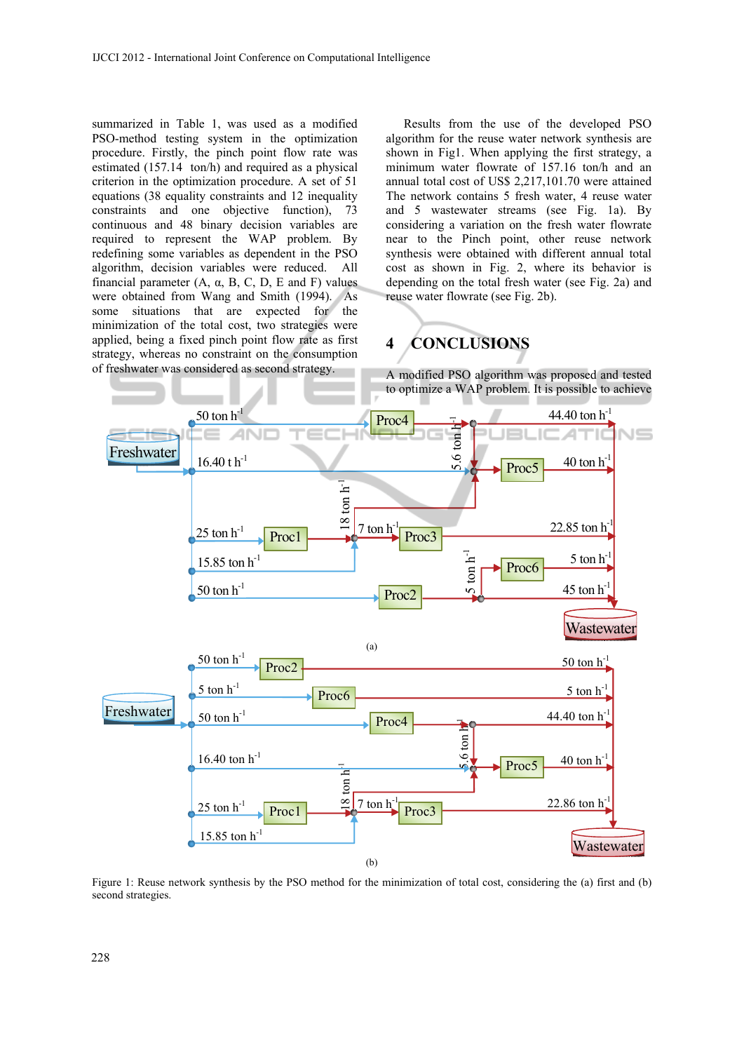summarized in Table 1, was used as a modified PSO-method testing system in the optimization procedure. Firstly, the pinch point flow rate was estimated (157.14 ton/h) and required as a physical criterion in the optimization procedure. A set of 51 equations (38 equality constraints and 12 inequality constraints and one objective function), 73 continuous and 48 binary decision variables are required to represent the WAP problem. By redefining some variables as dependent in the PSO algorithm, decision variables were reduced. All financial parameter  $(A, \alpha, B, C, D, E$  and F) values were obtained from Wang and Smith (1994). As some situations that are expected for the minimization of the total cost, two strategies were applied, being a fixed pinch point flow rate as first strategy, whereas no constraint on the consumption of freshwater was considered as second strategy.

Results from the use of the developed PSO algorithm for the reuse water network synthesis are shown in Fig1. When applying the first strategy, a minimum water flowrate of 157.16 ton/h and an annual total cost of US\$ 2,217,101.70 were attained The network contains 5 fresh water, 4 reuse water and 5 wastewater streams (see Fig. 1a). By considering a variation on the fresh water flowrate near to the Pinch point, other reuse network synthesis were obtained with different annual total cost as shown in Fig. 2, where its behavior is depending on the total fresh water (see Fig. 2a) and reuse water flowrate (see Fig. 2b).

# **4 CONCLUSIONS**

A modified PSO algorithm was proposed and tested to optimize a WAP problem. It is possible to achieve



Figure 1: Reuse network synthesis by the PSO method for the minimization of total cost, considering the (a) first and (b) second strategies.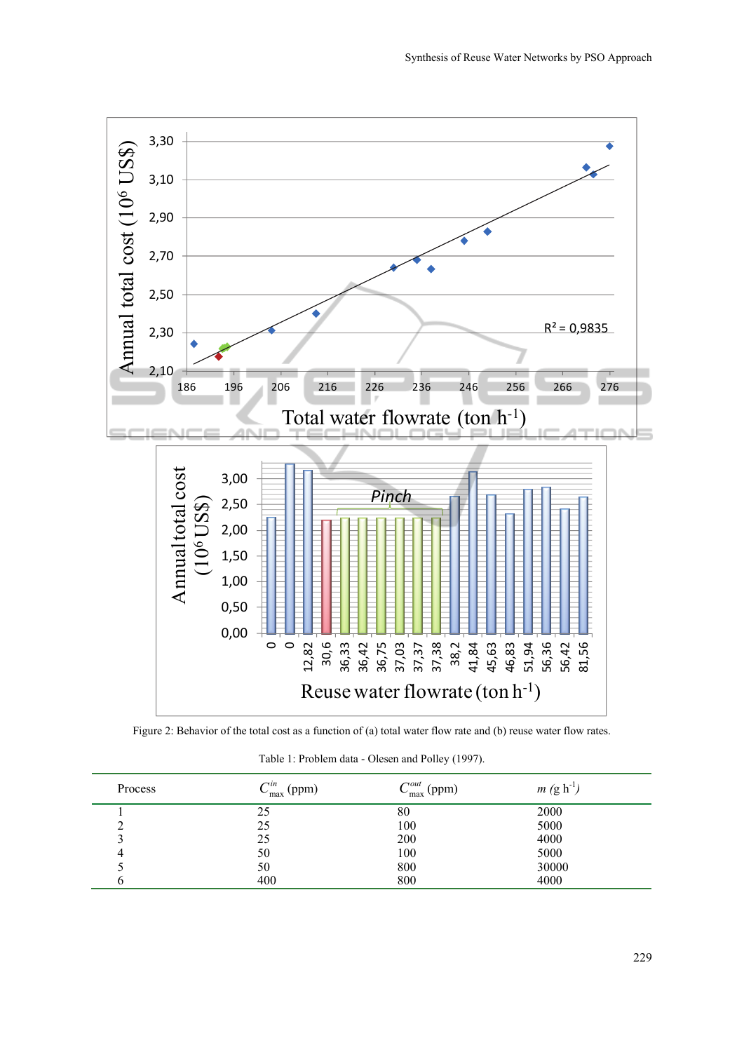

Figure 2: Behavior of the total cost as a function of (a) total water flow rate and (b) reuse water flow rates.

|  | Table 1: Problem data - Olesen and Polley (1997). |  |  |  |  |  |
|--|---------------------------------------------------|--|--|--|--|--|
|--|---------------------------------------------------|--|--|--|--|--|

| Process | $\cap$ in<br>$C_{\text{max}}^{m}$ (ppm) | $C_{\text{max}}^{out}$ (ppm) | $m (g h^{-1})$ |
|---------|-----------------------------------------|------------------------------|----------------|
|         | 25                                      | 80                           | 2000           |
|         | 25                                      | 100                          | 5000           |
|         | 25                                      | 200                          | 4000           |
| 4       | 50                                      | 100                          | 5000           |
|         | 50                                      | 800                          | 30000          |
|         | 400                                     | 800                          | 4000           |